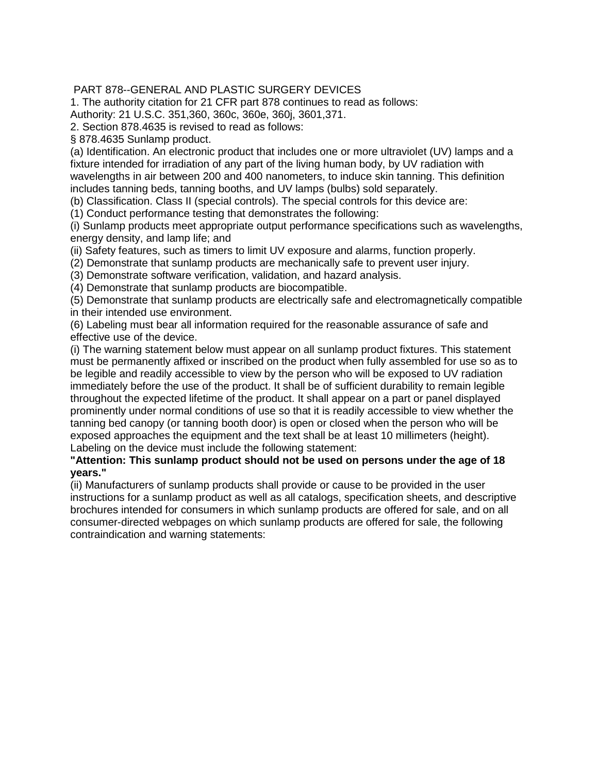## PART 878--GENERAL AND PLASTIC SURGERY DEVICES

1. The authority citation for 21 CFR part 878 continues to read as follows:

Authority: 21 U.S.C. 351,360, 360c, 360e, 360j, 3601,371.

2. Section 878.4635 is revised to read as follows:

§ 878.4635 Sunlamp product.

(a) Identification. An electronic product that includes one or more ultraviolet (UV) lamps and a fixture intended for irradiation of any part of the living human body, by UV radiation with wavelengths in air between 200 and 400 nanometers, to induce skin tanning. This definition includes tanning beds, tanning booths, and UV lamps (bulbs) sold separately.

(b) Classification. Class II (special controls). The special controls for this device are:

(1) Conduct performance testing that demonstrates the following:

(i) Sunlamp products meet appropriate output performance specifications such as wavelengths, energy density, and lamp life; and

(ii) Safety features, such as timers to limit UV exposure and alarms, function properly.

(2) Demonstrate that sunlamp products are mechanically safe to prevent user injury.

(3) Demonstrate software verification, validation, and hazard analysis.

(4) Demonstrate that sunlamp products are biocompatible.

(5) Demonstrate that sunlamp products are electrically safe and electromagnetically compatible in their intended use environment.

(6) Labeling must bear all information required for the reasonable assurance of safe and effective use of the device.

(i) The warning statement below must appear on all sunlamp product fixtures. This statement must be permanently affixed or inscribed on the product when fully assembled for use so as to be legible and readily accessible to view by the person who will be exposed to UV radiation immediately before the use of the product. It shall be of sufficient durability to remain legible throughout the expected lifetime of the product. It shall appear on a part or panel displayed prominently under normal conditions of use so that it is readily accessible to view whether the tanning bed canopy (or tanning booth door) is open or closed when the person who will be exposed approaches the equipment and the text shall be at least 10 millimeters (height). Labeling on the device must include the following statement:

## **"Attention: This sunlamp product should not be used on persons under the age of 18 years."**

(ii) Manufacturers of sunlamp products shall provide or cause to be provided in the user instructions for a sunlamp product as well as all catalogs, specification sheets, and descriptive brochures intended for consumers in which sunlamp products are offered for sale, and on all consumer-directed webpages on which sunlamp products are offered for sale, the following contraindication and warning statements: